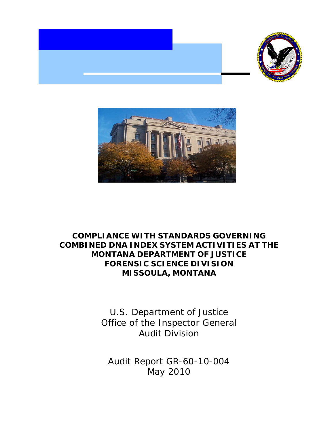



## **COMPLIANCE WITH STANDARDS GOVERNING COMBINED DNA INDEX SYSTEM ACTIVITIES AT THE MONTANA DEPARTMENT OF JUSTICE FORENSIC SCIENCE DIVISION MISSOULA, MONTANA**

U.S. Department of Justice Office of the Inspector General Audit Division

Audit Report GR-60-10-004 May 2010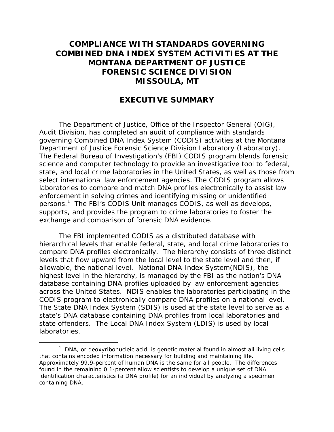## **COMPLIANCE WITH STANDARDS GOVERNING COMBINED DNA INDEX SYSTEM ACTIVITIES AT THE MONTANA DEPARTMENT OF JUSTICE FORENSIC SCIENCE DIVISION MISSOULA, MT**

## **EXECUTIVE SUMMARY**

The Department of Justice, Office of the Inspector General (OIG), Audit Division, has completed an audit of compliance with standards governing Combined DNA Index System (CODIS) activities at the Montana Department of Justice Forensic Science Division Laboratory (Laboratory). The Federal Bureau of Investigation's (FBI) CODIS program blends forensic science and computer technology to provide an investigative tool to federal, state, and local crime laboratories in the United States, as well as those from select international law enforcement agencies. The CODIS program allows laboratories to compare and match DNA profiles electronically to assist law enforcement in solving crimes and identifying missing or unidentified persons.<sup>[1](#page-1-0)</sup> The FBI's CODIS Unit manages CODIS, as well as develops, supports, and provides the program to crime laboratories to foster the exchange and comparison of forensic DNA evidence.

The FBI implemented CODIS as a distributed database with hierarchical levels that enable federal, state, and local crime laboratories to compare DNA profiles electronically. The hierarchy consists of three distinct levels that flow upward from the local level to the state level and then, if allowable, the national level. National DNA Index System(NDIS), the highest level in the hierarchy, is managed by the FBI as the nation's DNA database containing DNA profiles uploaded by law enforcement agencies across the United States. NDIS enables the laboratories participating in the CODIS program to electronically compare DNA profiles on a national level. The State DNA Index System (SDIS) is used at the state level to serve as a state's DNA database containing DNA profiles from local laboratories and state offenders. The Local DNA Index System (LDIS) is used by local laboratories.

<span id="page-1-0"></span> $\frac{1}{1}$  $<sup>1</sup>$  DNA, or deoxyribonucleic acid, is genetic material found in almost all living cells</sup> that contains encoded information necessary for building and maintaining life. Approximately 99.9-percent of human DNA is the same for all people. The differences found in the remaining 0.1-percent allow scientists to develop a unique set of DNA identification characteristics (a DNA profile) for an individual by analyzing a specimen containing DNA.